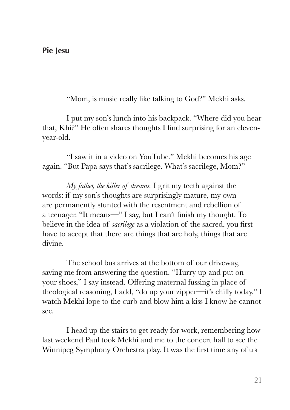"Mom, is music really like talking to God?" Mekhi asks.

I put my son's lunch into his backpack. "Where did you hear that, Khi?" He often shares thoughts I find surprising for an elevenyear-old.

"I saw it in a video on YouTube." Mekhi becomes his age again. "But Papa says that's sacrilege. What's sacrilege, Mom?"

*My father, the killer of dreams.* I grit my teeth against the words: if my son's thoughts are surprisingly mature, my own are permanently stunted with the resentment and rebellion of a teenager. "It means—" I say, but I can't finish my thought. To believe in the idea of *sacrilege* as a violation of the sacred, you first have to accept that there are things that are holy, things that are divine.

The school bus arrives at the bottom of our driveway, saving me from answering the question. "Hurry up and put on your shoes," I say instead. Offering maternal fussing in place of theological reasoning, I add, "do up your zipper—it's chilly today." I watch Mekhi lope to the curb and blow him a kiss I know he cannot see.

I head up the stairs to get ready for work, remembering how last weekend Paul took Mekhi and me to the concert hall to see the Winnipeg Symphony Orchestra play. It was the first time any of u s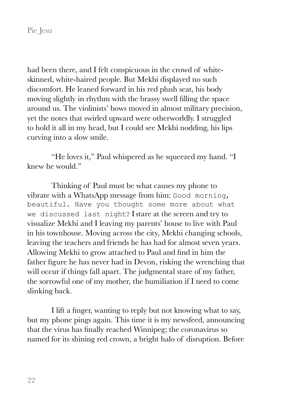had been there, and I felt conspicuous in the crowd of whiteskinned, white-haired people. But Mekhi displayed no such discomfort. He leaned forward in his red plush seat, his body moving slightly in rhythm with the brassy swell filling the space around us. The violinists' bows moved in almost military precision, yet the notes that swirled upward were otherworldly. I struggled to hold it all in my head, but I could see Mekhi nodding, his lips curving into a slow smile.

"He loves it," Paul whispered as he squeezed my hand. "I knew he would."

Thinking of Paul must be what causes my phone to vibrate with a WhatsApp message from him: Good morning, beautiful. Have you thought some more about what we discussed last night? I stare at the screen and try to visualize Mekhi and I leaving my parents' house to live with Paul in his townhouse. Moving across the city, Mekhi changing schools, leaving the teachers and friends he has had for almost seven years. Allowing Mekhi to grow attached to Paul and find in him the father figure he has never had in Devon, risking the wrenching that will occur if things fall apart. The judgmental stare of my father, the sorrowful one of my mother, the humiliation if I need to come slinking back.

I lift a finger, wanting to reply but not knowing what to say, but my phone pings again. This time it is my newsfeed, announcing that the virus has finally reached Winnipeg; the coronavirus so named for its shining red crown, a bright halo of disruption. Before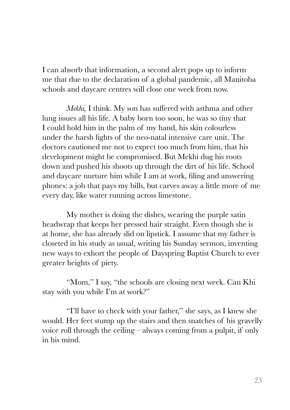I can absorb that information, a second alert pops up to inform me that due to the declaration of a global pandemic, all Manitoba schools and daycare centres will close one week from now.

*Mekhi,* I think. My son has suffered with asthma and other lung issues all his life. A baby born too soon, he was so tiny that I could hold him in the palm of my hand, his skin colourless under the harsh lights of the neo-natal intensive care unit. The doctors cautioned me not to expect too much from him, that his development might be compromised. But Mekhi dug his roots down and pushed his shoots up through the dirt of his life. School and daycare nurture him while I am at work, filing and answering phones: a job that pays my bills, but carves away a little more of me every day, like water running across limestone.

My mother is doing the dishes, wearing the purple satin headwrap that keeps her pressed hair straight. Even though she is at home, she has already slid on lipstick. I assume that my father is closeted in his study as usual, writing his Sunday sermon, inventing new ways to exhort the people of Dayspring Baptist Church to ever greater heights of piety.

"Mom," I say, "the schools are closing next week. Can Khi stay with you while I'm at work?"

"I'll have to check with your father," she says, as I knew she would. Her feet stump up the stairs and then snatches of his gravelly voice roll through the ceiling—always coming from a pulpit, if only in his mind.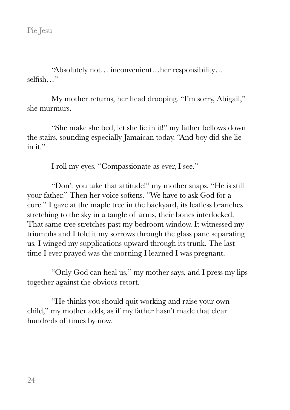"Absolutely not… inconvenient…her responsibility… selfish…"

My mother returns, her head drooping. "I'm sorry, Abigail," she murmurs.

"She make she bed, let she lie in it!" my father bellows down the stairs, sounding especially Jamaican today. "And boy did she lie in it."

I roll my eyes. "Compassionate as ever, I see."

"Don't you take that attitude!" my mother snaps. "He is still your father." Then her voice softens. "We have to ask God for a cure." I gaze at the maple tree in the backyard, its leafless branches stretching to the sky in a tangle of arms, their bones interlocked. That same tree stretches past my bedroom window. It witnessed my triumphs and I told it my sorrows through the glass pane separating us. I winged my supplications upward through its trunk. The last time I ever prayed was the morning I learned I was pregnant.

"Only God can heal us," my mother says, and I press my lips together against the obvious retort.

"He thinks you should quit working and raise your own child," my mother adds, as if my father hasn't made that clear hundreds of times by now.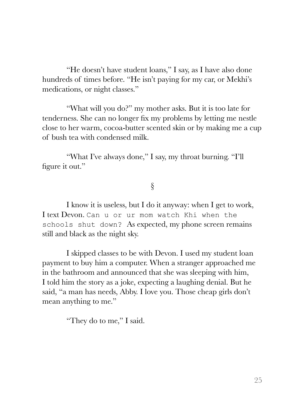"He doesn't have student loans," I say, as I have also done hundreds of times before. "He isn't paying for my car, or Mekhi's medications, or night classes."

"What will you do?" my mother asks. But it is too late for tenderness. She can no longer fix my problems by letting me nestle close to her warm, cocoa-butter scented skin or by making me a cup of bush tea with condensed milk.

"What I've always done," I say, my throat burning. "I'll figure it out."

# §

I know it is useless, but I do it anyway: when I get to work, I text Devon. Can u or ur mom watch Khi when the schools shut down? As expected, my phone screen remains still and black as the night sky.

I skipped classes to be with Devon. I used my student loan payment to buy him a computer. When a stranger approached me in the bathroom and announced that she was sleeping with him, I told him the story as a joke, expecting a laughing denial. But he said, "a man has needs, Abby. I love you. Those cheap girls don't mean anything to me."

"They do to me," I said.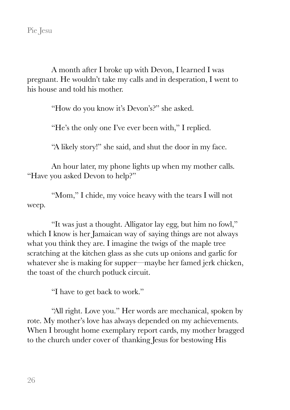A month after I broke up with Devon, I learned I was pregnant. He wouldn't take my calls and in desperation, I went to his house and told his mother.

"How do you know it's Devon's?" she asked.

"He's the only one I've ever been with," I replied.

"A likely story!" she said, and shut the door in my face.

An hour later, my phone lights up when my mother calls. "Have you asked Devon to help?"

"Mom," I chide, my voice heavy with the tears I will not weep.

"It was just a thought. Alligator lay egg, but him no fowl," which I know is her Jamaican way of saying things are not always what you think they are. I imagine the twigs of the maple tree scratching at the kitchen glass as she cuts up onions and garlic for whatever she is making for supper—maybe her famed jerk chicken, the toast of the church potluck circuit.

"I have to get back to work."

"All right. Love you." Her words are mechanical, spoken by rote. My mother's love has always depended on my achievements. When I brought home exemplary report cards, my mother bragged to the church under cover of thanking Jesus for bestowing His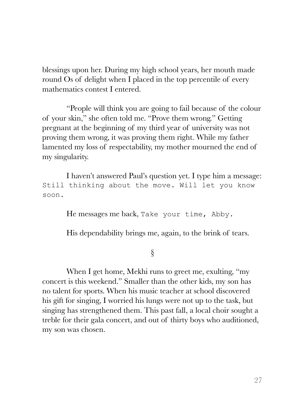blessings upon her. During my high school years, her mouth made round Os of delight when I placed in the top percentile of every mathematics contest I entered.

"People will think you are going to fail because of the colour of your skin," she often told me. "Prove them wrong." Getting pregnant at the beginning of my third year of university was not proving them wrong, it was proving them right. While my father lamented my loss of respectability, my mother mourned the end of my singularity.

I haven't answered Paul's question yet. I type him a message: Still thinking about the move. Will let you know soon.

He messages me back, Take your time, Abby.

His dependability brings me, again, to the brink of tears.

## §

When I get home, Mekhi runs to greet me, exulting, "my concert is this weekend." Smaller than the other kids, my son has no talent for sports. When his music teacher at school discovered his gift for singing, I worried his lungs were not up to the task, but singing has strengthened them. This past fall, a local choir sought a treble for their gala concert, and out of thirty boys who auditioned, my son was chosen.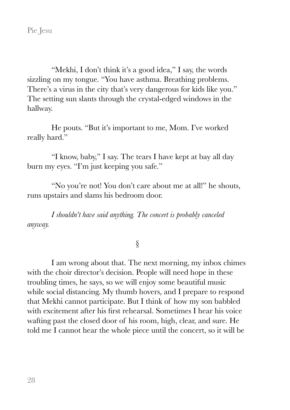"Mekhi, I don't think it's a good idea," I say, the words sizzling on my tongue. "You have asthma. Breathing problems. There's a virus in the city that's very dangerous for kids like you." The setting sun slants through the crystal-edged windows in the hallway.

He pouts. "But it's important to me, Mom. I've worked really hard."

"I know, baby," I say. The tears I have kept at bay all day burn my eyes. "I'm just keeping you safe."

"No you're not! You don't care about me at all!" he shouts, runs upstairs and slams his bedroom door.

*I shouldn't have said anything. The concert is probably canceled anyway.* 

## §

I am wrong about that. The next morning, my inbox chimes with the choir director's decision. People will need hope in these troubling times, he says, so we will enjoy some beautiful music while social distancing. My thumb hovers, and I prepare to respond that Mekhi cannot participate. But I think of how my son babbled with excitement after his first rehearsal. Sometimes I hear his voice wafting past the closed door of his room, high, clear, and sure. He told me I cannot hear the whole piece until the concert, so it will be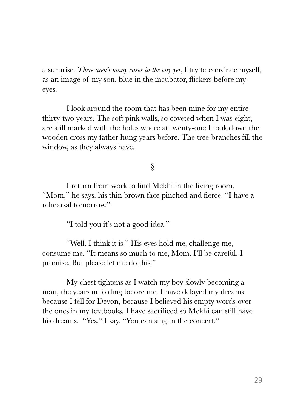a surprise. *There aren't many cases in the city yet*, I try to convince myself, as an image of my son, blue in the incubator, flickers before my eyes.

I look around the room that has been mine for my entire thirty-two years. The soft pink walls, so coveted when I was eight, are still marked with the holes where at twenty-one I took down the wooden cross my father hung years before. The tree branches fill the window, as they always have.

§

I return from work to find Mekhi in the living room. "Mom," he says. his thin brown face pinched and fierce. "I have a rehearsal tomorrow."

"I told you it's not a good idea."

"Well, I think it is." His eyes hold me, challenge me, consume me. "It means so much to me, Mom. I'll be careful. I promise. But please let me do this."

My chest tightens as I watch my boy slowly becoming a man, the years unfolding before me. I have delayed my dreams because I fell for Devon, because I believed his empty words over the ones in my textbooks. I have sacrificed so Mekhi can still have his dreams. "Yes," I say. "You can sing in the concert."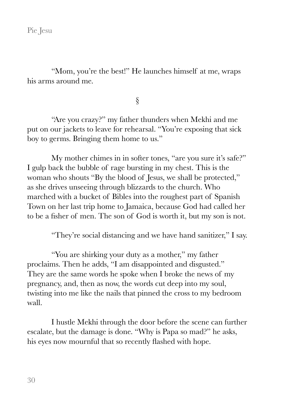"Mom, you're the best!" He launches himself at me, wraps his arms around me.

§

"Are you crazy?" my father thunders when Mekhi and me put on our jackets to leave for rehearsal. "You're exposing that sick boy to germs. Bringing them home to us."

My mother chimes in in softer tones, "are you sure it's safe?" I gulp back the bubble of rage bursting in my chest. This is the woman who shouts "By the blood of Jesus, we shall be protected," as she drives unseeing through blizzards to the church. Who marched with a bucket of Bibles into the roughest part of Spanish Town on her last trip home to Jamaica, because God had called her to be a fisher of men. The son of God is worth it, but my son is not.

"They're social distancing and we have hand sanitizer," I say.

"You are shirking your duty as a mother," my father proclaims. Then he adds, "I am disappointed and disgusted." They are the same words he spoke when I broke the news of my pregnancy, and, then as now, the words cut deep into my soul, twisting into me like the nails that pinned the cross to my bedroom wall.

I hustle Mekhi through the door before the scene can further escalate, but the damage is done. "Why is Papa so mad?" he asks, his eyes now mournful that so recently flashed with hope.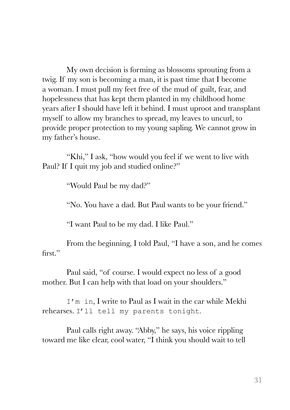My own decision is forming as blossoms sprouting from a twig. If my son is becoming a man, it is past time that I become a woman. I must pull my feet free of the mud of guilt, fear, and hopelessness that has kept them planted in my childhood home years after I should have left it behind. I must uproot and transplant myself to allow my branches to spread, my leaves to uncurl, to provide proper protection to my young sapling. We cannot grow in my father's house.

"Khi," I ask, "how would you feel if we went to live with Paul? If I quit my job and studied online?"

"Would Paul be my dad?"

"No. You have a dad. But Paul wants to be your friend."

"I want Paul to be my dad. I like Paul."

From the beginning, I told Paul, "I have a son, and he comes first"

Paul said, "of course. I would expect no less of a good mother. But I can help with that load on your shoulders."

I'm in, I write to Paul as I wait in the car while Mekhi rehearses. I'll tell my parents tonight.

Paul calls right away. "Abby," he says, his voice rippling toward me like clear, cool water, "I think you should wait to tell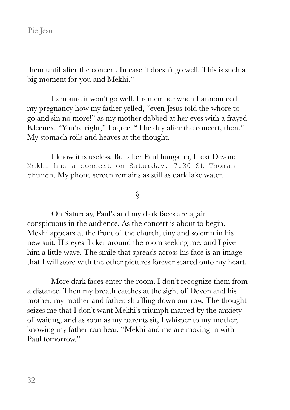them until after the concert. In case it doesn't go well. This is such a big moment for you and Mekhi."

I am sure it won't go well. I remember when I announced my pregnancy how my father yelled, "even Jesus told the whore to go and sin no more!" as my mother dabbed at her eyes with a frayed Kleenex. "You're right," I agree. "The day after the concert, then." My stomach roils and heaves at the thought.

I know it is useless. But after Paul hangs up, I text Devon: Mekhi has a concert on Saturday. 7.30 St Thomas church. My phone screen remains as still as dark lake water.

§

On Saturday, Paul's and my dark faces are again conspicuous in the audience. As the concert is about to begin, Mekhi appears at the front of the church, tiny and solemn in his new suit. His eyes flicker around the room seeking me, and I give him a little wave. The smile that spreads across his face is an image that I will store with the other pictures forever seared onto my heart.

More dark faces enter the room. I don't recognize them from a distance. Then my breath catches at the sight of Devon and his mother, my mother and father, shuffling down our row. The thought seizes me that I don't want Mekhi's triumph marred by the anxiety of waiting, and as soon as my parents sit, I whisper to my mother, knowing my father can hear, "Mekhi and me are moving in with Paul tomorrow."